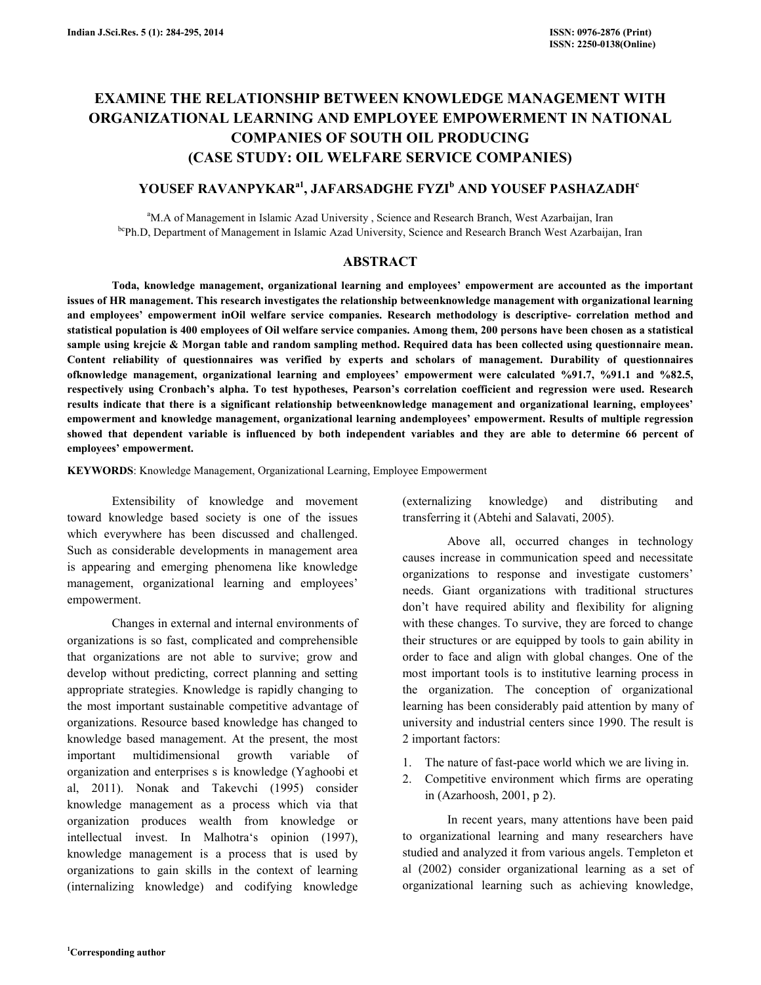# EXAMINE THE RELATIONSHIP BETWEEN KNOWLEDGE MANAGEMENT WITH ORGANIZATIONAL LEARNING AND EMPLOYEE EMPOWERMENT IN NATIONAL COMPANIES OF SOUTH OIL PRODUCING (CASE STUDY: OIL WELFARE SERVICE COMPANIES)

# YOUSEF RAVANPYKAR<sup>a1</sup>, JAFARSADGHE FYZI<sup>b</sup> AND YOUSEF PASHAZADH<sup>c</sup>

<sup>a</sup>M.A of Management in Islamic Azad University, Science and Research Branch, West Azarbaijan, Iran bcPh.D, Department of Management in Islamic Azad University, Science and Research Branch West Azarbaijan, Iran

# ABSTRACT

 Toda, knowledge management, organizational learning and employees' empowerment are accounted as the important issues of HR management. This research investigates the relationship betweenknowledge management with organizational learning and employees' empowerment inOil welfare service companies. Research methodology is descriptive- correlation method and statistical population is 400 employees of Oil welfare service companies. Among them, 200 persons have been chosen as a statistical sample using krejcie & Morgan table and random sampling method. Required data has been collected using questionnaire mean. Content reliability of questionnaires was verified by experts and scholars of management. Durability of questionnaires ofknowledge management, organizational learning and employees' empowerment were calculated %91.7, %91.1 and %82.5, respectively using Cronbach's alpha. To test hypotheses, Pearson's correlation coefficient and regression were used. Research results indicate that there is a significant relationship betweenknowledge management and organizational learning, employees' empowerment and knowledge management, organizational learning andemployees' empowerment. Results of multiple regression showed that dependent variable is influenced by both independent variables and they are able to determine 66 percent of employees' empowerment.

KEYWORDS: Knowledge Management, Organizational Learning, Employee Empowerment

 Extensibility of knowledge and movement toward knowledge based society is one of the issues which everywhere has been discussed and challenged. Such as considerable developments in management area is appearing and emerging phenomena like knowledge management, organizational learning and employees' empowerment.

 Changes in external and internal environments of organizations is so fast, complicated and comprehensible that organizations are not able to survive; grow and develop without predicting, correct planning and setting appropriate strategies. Knowledge is rapidly changing to the most important sustainable competitive advantage of organizations. Resource based knowledge has changed to knowledge based management. At the present, the most important multidimensional growth variable of organization and enterprises s is knowledge (Yaghoobi et al, 2011). Nonak and Takevchi (1995) consider knowledge management as a process which via that organization produces wealth from knowledge or intellectual invest. In Malhotra's opinion (1997), knowledge management is a process that is used by organizations to gain skills in the context of learning (internalizing knowledge) and codifying knowledge (externalizing knowledge) and distributing and transferring it (Abtehi and Salavati, 2005).

 Above all, occurred changes in technology causes increase in communication speed and necessitate organizations to response and investigate customers' needs. Giant organizations with traditional structures don't have required ability and flexibility for aligning with these changes. To survive, they are forced to change their structures or are equipped by tools to gain ability in order to face and align with global changes. One of the most important tools is to institutive learning process in the organization. The conception of organizational learning has been considerably paid attention by many of university and industrial centers since 1990. The result is 2 important factors:

- 1. The nature of fast-pace world which we are living in.
- 2. Competitive environment which firms are operating in (Azarhoosh, 2001, p 2).

 In recent years, many attentions have been paid to organizational learning and many researchers have studied and analyzed it from various angels. Templeton et al (2002) consider organizational learning as a set of organizational learning such as achieving knowledge,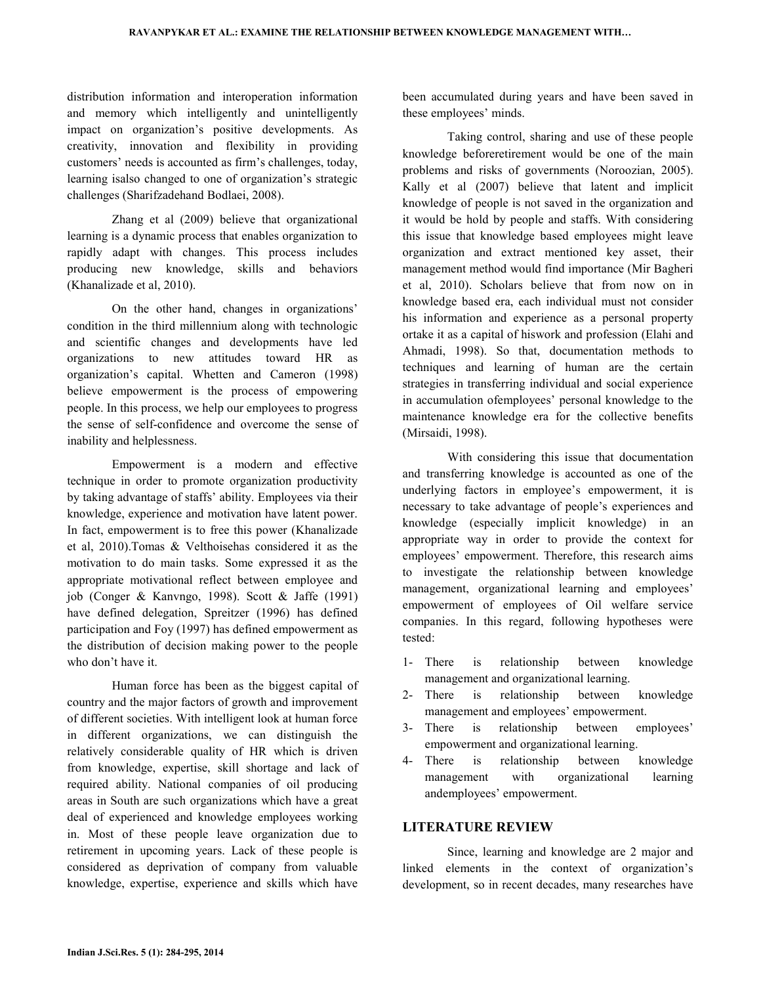distribution information and interoperation information and memory which intelligently and unintelligently impact on organization's positive developments. As creativity, innovation and flexibility in providing customers' needs is accounted as firm's challenges, today, learning isalso changed to one of organization's strategic challenges (Sharifzadehand Bodlaei, 2008).

 Zhang et al (2009) believe that organizational learning is a dynamic process that enables organization to rapidly adapt with changes. This process includes producing new knowledge, skills and behaviors (Khanalizade et al, 2010).

 On the other hand, changes in organizations' condition in the third millennium along with technologic and scientific changes and developments have led organizations to new attitudes toward HR as organization's capital. Whetten and Cameron (1998) believe empowerment is the process of empowering people. In this process, we help our employees to progress the sense of self-confidence and overcome the sense of inability and helplessness.

 Empowerment is a modern and effective technique in order to promote organization productivity by taking advantage of staffs' ability. Employees via their knowledge, experience and motivation have latent power. In fact, empowerment is to free this power (Khanalizade et al, 2010).Tomas & Velthoisehas considered it as the motivation to do main tasks. Some expressed it as the appropriate motivational reflect between employee and job (Conger & Kanvngo, 1998). Scott & Jaffe (1991) have defined delegation, Spreitzer (1996) has defined participation and Foy (1997) has defined empowerment as the distribution of decision making power to the people who don't have it.

 Human force has been as the biggest capital of country and the major factors of growth and improvement of different societies. With intelligent look at human force in different organizations, we can distinguish the relatively considerable quality of HR which is driven from knowledge, expertise, skill shortage and lack of required ability. National companies of oil producing areas in South are such organizations which have a great deal of experienced and knowledge employees working in. Most of these people leave organization due to retirement in upcoming years. Lack of these people is considered as deprivation of company from valuable knowledge, expertise, experience and skills which have

been accumulated during years and have been saved in these employees' minds.

 Taking control, sharing and use of these people knowledge beforeretirement would be one of the main problems and risks of governments (Noroozian, 2005). Kally et al (2007) believe that latent and implicit knowledge of people is not saved in the organization and it would be hold by people and staffs. With considering this issue that knowledge based employees might leave organization and extract mentioned key asset, their management method would find importance (Mir Bagheri et al, 2010). Scholars believe that from now on in knowledge based era, each individual must not consider his information and experience as a personal property ortake it as a capital of hiswork and profession (Elahi and Ahmadi, 1998). So that, documentation methods to techniques and learning of human are the certain strategies in transferring individual and social experience in accumulation ofemployees' personal knowledge to the maintenance knowledge era for the collective benefits (Mirsaidi, 1998).

 With considering this issue that documentation and transferring knowledge is accounted as one of the underlying factors in employee's empowerment, it is necessary to take advantage of people's experiences and knowledge (especially implicit knowledge) in an appropriate way in order to provide the context for employees' empowerment. Therefore, this research aims to investigate the relationship between knowledge management, organizational learning and employees' empowerment of employees of Oil welfare service companies. In this regard, following hypotheses were tested:

- 1- There is relationship between knowledge management and organizational learning.
- 2- There is relationship between knowledge management and employees' empowerment.
- 3- There is relationship between employees' empowerment and organizational learning.
- 4- There is relationship between knowledge management with organizational learning andemployees' empowerment.

## LITERATURE REVIEW

 Since, learning and knowledge are 2 major and linked elements in the context of organization's development, so in recent decades, many researches have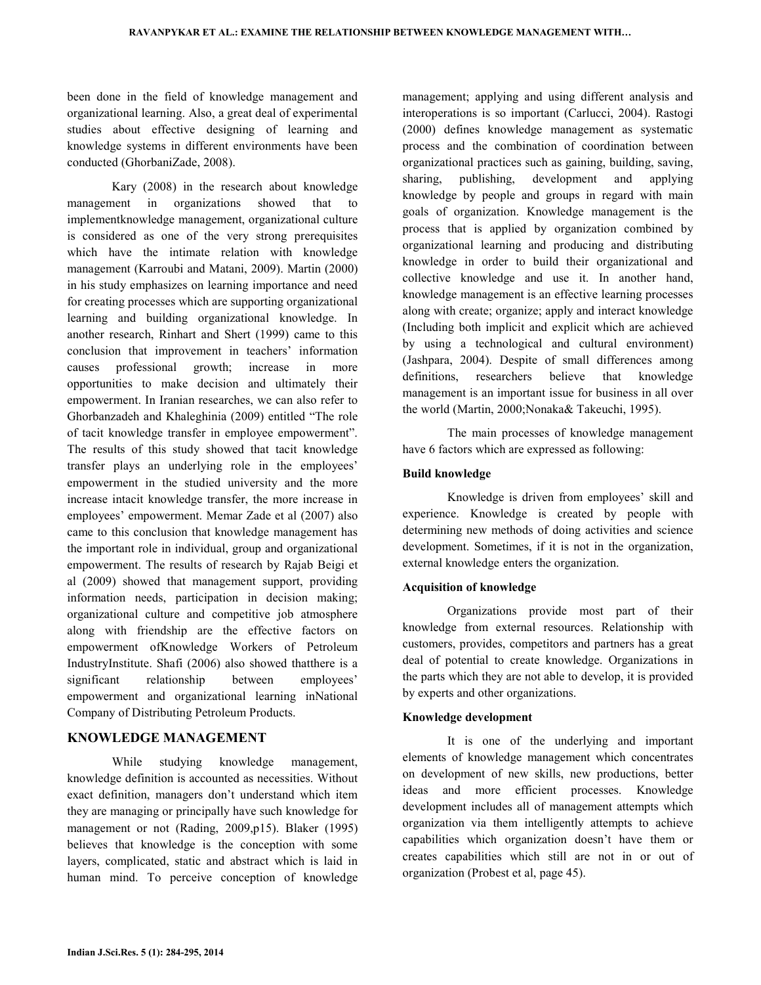been done in the field of knowledge management and organizational learning. Also, a great deal of experimental studies about effective designing of learning and knowledge systems in different environments have been conducted (GhorbaniZade, 2008).

 Kary (2008) in the research about knowledge management in organizations showed that to implementknowledge management, organizational culture is considered as one of the very strong prerequisites which have the intimate relation with knowledge management (Karroubi and Matani, 2009). Martin (2000) in his study emphasizes on learning importance and need for creating processes which are supporting organizational learning and building organizational knowledge. In another research, Rinhart and Shert (1999) came to this conclusion that improvement in teachers' information causes professional growth; increase in more opportunities to make decision and ultimately their empowerment. In Iranian researches, we can also refer to Ghorbanzadeh and Khaleghinia (2009) entitled "The role of tacit knowledge transfer in employee empowerment". The results of this study showed that tacit knowledge transfer plays an underlying role in the employees' empowerment in the studied university and the more increase intacit knowledge transfer, the more increase in employees' empowerment. Memar Zade et al (2007) also came to this conclusion that knowledge management has the important role in individual, group and organizational empowerment. The results of research by Rajab Beigi et al (2009) showed that management support, providing information needs, participation in decision making; organizational culture and competitive job atmosphere along with friendship are the effective factors on empowerment ofKnowledge Workers of Petroleum IndustryInstitute. Shafi (2006) also showed thatthere is a significant relationship between employees' empowerment and organizational learning inNational Company of Distributing Petroleum Products.

# KNOWLEDGE MANAGEMENT

 While studying knowledge management, knowledge definition is accounted as necessities. Without exact definition, managers don't understand which item they are managing or principally have such knowledge for management or not (Rading, 2009,p15). Blaker (1995) believes that knowledge is the conception with some layers, complicated, static and abstract which is laid in human mind. To perceive conception of knowledge management; applying and using different analysis and interoperations is so important (Carlucci, 2004). Rastogi (2000) defines knowledge management as systematic process and the combination of coordination between organizational practices such as gaining, building, saving, sharing, publishing, development and applying knowledge by people and groups in regard with main goals of organization. Knowledge management is the process that is applied by organization combined by organizational learning and producing and distributing knowledge in order to build their organizational and collective knowledge and use it. In another hand, knowledge management is an effective learning processes along with create; organize; apply and interact knowledge (Including both implicit and explicit which are achieved by using a technological and cultural environment) (Jashpara, 2004). Despite of small differences among definitions, researchers believe that knowledge management is an important issue for business in all over the world (Martin, 2000;Nonaka& Takeuchi, 1995).

 The main processes of knowledge management have 6 factors which are expressed as following:

#### Build knowledge

 Knowledge is driven from employees' skill and experience. Knowledge is created by people with determining new methods of doing activities and science development. Sometimes, if it is not in the organization, external knowledge enters the organization.

#### Acquisition of knowledge

 Organizations provide most part of their knowledge from external resources. Relationship with customers, provides, competitors and partners has a great deal of potential to create knowledge. Organizations in the parts which they are not able to develop, it is provided by experts and other organizations.

#### Knowledge development

 It is one of the underlying and important elements of knowledge management which concentrates on development of new skills, new productions, better ideas and more efficient processes. Knowledge development includes all of management attempts which organization via them intelligently attempts to achieve capabilities which organization doesn't have them or creates capabilities which still are not in or out of organization (Probest et al, page 45).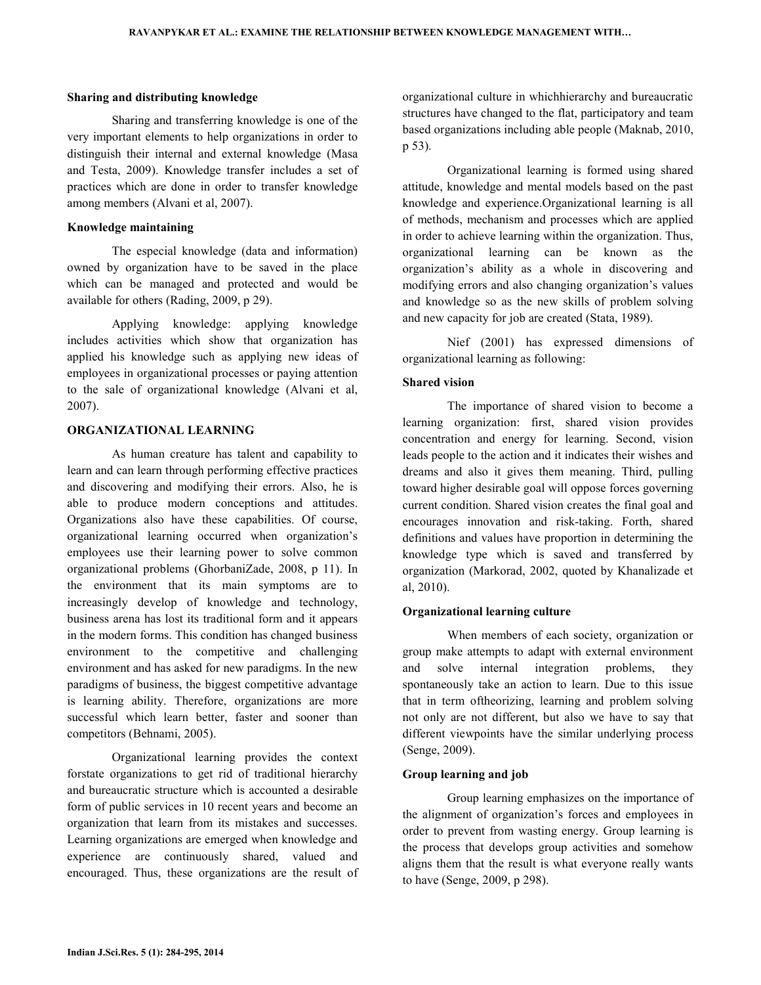#### Sharing and distributing knowledge

 Sharing and transferring knowledge is one of the very important elements to help organizations in order to distinguish their internal and external knowledge (Masa and Testa, 2009). Knowledge transfer includes a set of practices which are done in order to transfer knowledge among members (Alvani et al, 2007).

#### Knowledge maintaining

 The especial knowledge (data and information) owned by organization have to be saved in the place which can be managed and protected and would be available for others (Rading, 2009, p 29).

 Applying knowledge: applying knowledge includes activities which show that organization has applied his knowledge such as applying new ideas of employees in organizational processes or paying attention to the sale of organizational knowledge (Alvani et al, 2007).

## ORGANIZATIONAL LEARNING

 As human creature has talent and capability to learn and can learn through performing effective practices and discovering and modifying their errors. Also, he is able to produce modern conceptions and attitudes. Organizations also have these capabilities. Of course, organizational learning occurred when organization's employees use their learning power to solve common organizational problems (GhorbaniZade, 2008, p 11). In the environment that its main symptoms are to increasingly develop of knowledge and technology, business arena has lost its traditional form and it appears in the modern forms. This condition has changed business environment to the competitive and challenging environment and has asked for new paradigms. In the new paradigms of business, the biggest competitive advantage is learning ability. Therefore, organizations are more successful which learn better, faster and sooner than competitors (Behnami, 2005).

 Organizational learning provides the context forstate organizations to get rid of traditional hierarchy and bureaucratic structure which is accounted a desirable form of public services in 10 recent years and become an organization that learn from its mistakes and successes. Learning organizations are emerged when knowledge and experience are continuously shared, valued and encouraged. Thus, these organizations are the result of organizational culture in whichhierarchy and bureaucratic structures have changed to the flat, participatory and team based organizations including able people (Maknab, 2010, p 53).

 Organizational learning is formed using shared attitude, knowledge and mental models based on the past knowledge and experience.Organizational learning is all of methods, mechanism and processes which are applied in order to achieve learning within the organization. Thus, organizational learning can be known as the organization's ability as a whole in discovering and modifying errors and also changing organization's values and knowledge so as the new skills of problem solving and new capacity for job are created (Stata, 1989).

 Nief (2001) has expressed dimensions of organizational learning as following:

## Shared vision

 The importance of shared vision to become a learning organization: first, shared vision provides concentration and energy for learning. Second, vision leads people to the action and it indicates their wishes and dreams and also it gives them meaning. Third, pulling toward higher desirable goal will oppose forces governing current condition. Shared vision creates the final goal and encourages innovation and risk-taking. Forth, shared definitions and values have proportion in determining the knowledge type which is saved and transferred by organization (Markorad, 2002, quoted by Khanalizade et al, 2010).

## Organizational learning culture

 When members of each society, organization or group make attempts to adapt with external environment and solve internal integration problems, they spontaneously take an action to learn. Due to this issue that in term oftheorizing, learning and problem solving not only are not different, but also we have to say that different viewpoints have the similar underlying process (Senge, 2009).

#### Group learning and job

 Group learning emphasizes on the importance of the alignment of organization's forces and employees in order to prevent from wasting energy. Group learning is the process that develops group activities and somehow aligns them that the result is what everyone really wants to have (Senge, 2009, p 298).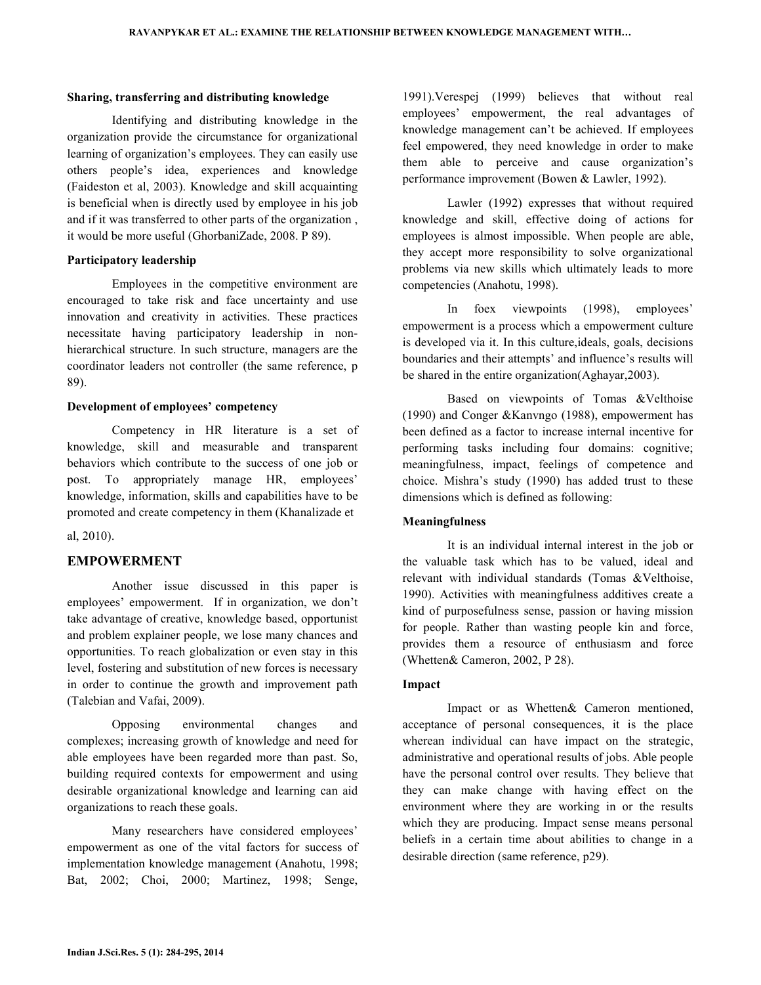#### Sharing, transferring and distributing knowledge

 Identifying and distributing knowledge in the organization provide the circumstance for organizational learning of organization's employees. They can easily use others people's idea, experiences and knowledge (Faideston et al, 2003). Knowledge and skill acquainting is beneficial when is directly used by employee in his job and if it was transferred to other parts of the organization , it would be more useful (GhorbaniZade, 2008. P 89).

## Participatory leadership

 Employees in the competitive environment are encouraged to take risk and face uncertainty and use innovation and creativity in activities. These practices necessitate having participatory leadership in nonhierarchical structure. In such structure, managers are the coordinator leaders not controller (the same reference, p 89).

## Development of employees' competency

 Competency in HR literature is a set of knowledge, skill and measurable and transparent behaviors which contribute to the success of one job or post. To appropriately manage HR, employees' knowledge, information, skills and capabilities have to be promoted and create competency in them (Khanalizade et

al, 2010).

## EMPOWERMENT

 Another issue discussed in this paper is employees' empowerment. If in organization, we don't take advantage of creative, knowledge based, opportunist and problem explainer people, we lose many chances and opportunities. To reach globalization or even stay in this level, fostering and substitution of new forces is necessary in order to continue the growth and improvement path (Talebian and Vafai, 2009).

 Opposing environmental changes and complexes; increasing growth of knowledge and need for able employees have been regarded more than past. So, building required contexts for empowerment and using desirable organizational knowledge and learning can aid organizations to reach these goals.

 Many researchers have considered employees' empowerment as one of the vital factors for success of implementation knowledge management (Anahotu, 1998; Bat, 2002; Choi, 2000; Martinez, 1998; Senge,

1991).Verespej (1999) believes that without real employees' empowerment, the real advantages of knowledge management can't be achieved. If employees feel empowered, they need knowledge in order to make them able to perceive and cause organization's performance improvement (Bowen & Lawler, 1992).

 Lawler (1992) expresses that without required knowledge and skill, effective doing of actions for employees is almost impossible. When people are able, they accept more responsibility to solve organizational problems via new skills which ultimately leads to more competencies (Anahotu, 1998).

 In foex viewpoints (1998), employees' empowerment is a process which a empowerment culture is developed via it. In this culture,ideals, goals, decisions boundaries and their attempts' and influence's results will be shared in the entire organization(Aghayar,2003).

 Based on viewpoints of Tomas &Velthoise (1990) and Conger &Kanvngo (1988), empowerment has been defined as a factor to increase internal incentive for performing tasks including four domains: cognitive; meaningfulness, impact, feelings of competence and choice. Mishra's study (1990) has added trust to these dimensions which is defined as following:

## Meaningfulness

 It is an individual internal interest in the job or the valuable task which has to be valued, ideal and relevant with individual standards (Tomas &Velthoise, 1990). Activities with meaningfulness additives create a kind of purposefulness sense, passion or having mission for people. Rather than wasting people kin and force, provides them a resource of enthusiasm and force (Whetten& Cameron, 2002, P 28).

## Impact

 Impact or as Whetten& Cameron mentioned, acceptance of personal consequences, it is the place wherean individual can have impact on the strategic, administrative and operational results of jobs. Able people have the personal control over results. They believe that they can make change with having effect on the environment where they are working in or the results which they are producing. Impact sense means personal beliefs in a certain time about abilities to change in a desirable direction (same reference, p29).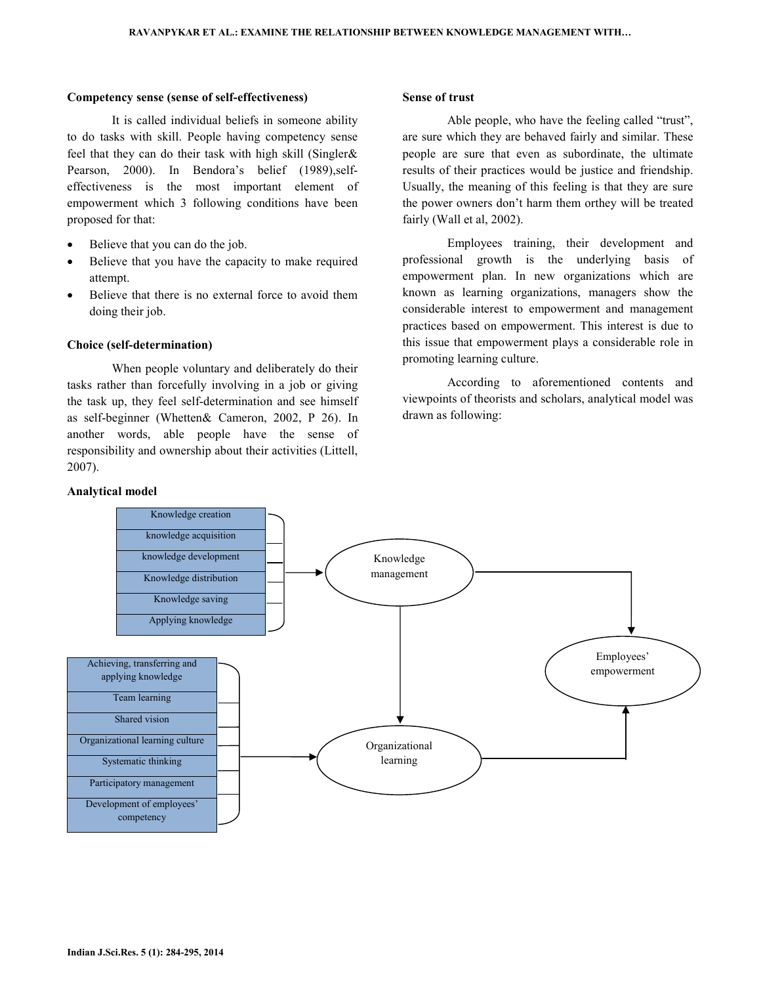#### Competency sense (sense of self-effectiveness)

 It is called individual beliefs in someone ability to do tasks with skill. People having competency sense feel that they can do their task with high skill (Singler& Pearson, 2000). In Bendora's belief (1989),selfeffectiveness is the most important element of empowerment which 3 following conditions have been proposed for that:

- Believe that you can do the job.
- Believe that you have the capacity to make required attempt.
- Believe that there is no external force to avoid them doing their job.

## Choice (self-determination)

 When people voluntary and deliberately do their tasks rather than forcefully involving in a job or giving the task up, they feel self-determination and see himself as self-beginner (Whetten& Cameron, 2002, P 26). In another words, able people have the sense of responsibility and ownership about their activities (Littell, 2007).

#### Analytical model

## Sense of trust

 Able people, who have the feeling called "trust", are sure which they are behaved fairly and similar. These people are sure that even as subordinate, the ultimate results of their practices would be justice and friendship. Usually, the meaning of this feeling is that they are sure the power owners don't harm them orthey will be treated fairly (Wall et al, 2002).

 Employees training, their development and professional growth is the underlying basis of empowerment plan. In new organizations which are known as learning organizations, managers show the considerable interest to empowerment and management practices based on empowerment. This interest is due to this issue that empowerment plays a considerable role in promoting learning culture.

 According to aforementioned contents and viewpoints of theorists and scholars, analytical model was drawn as following:

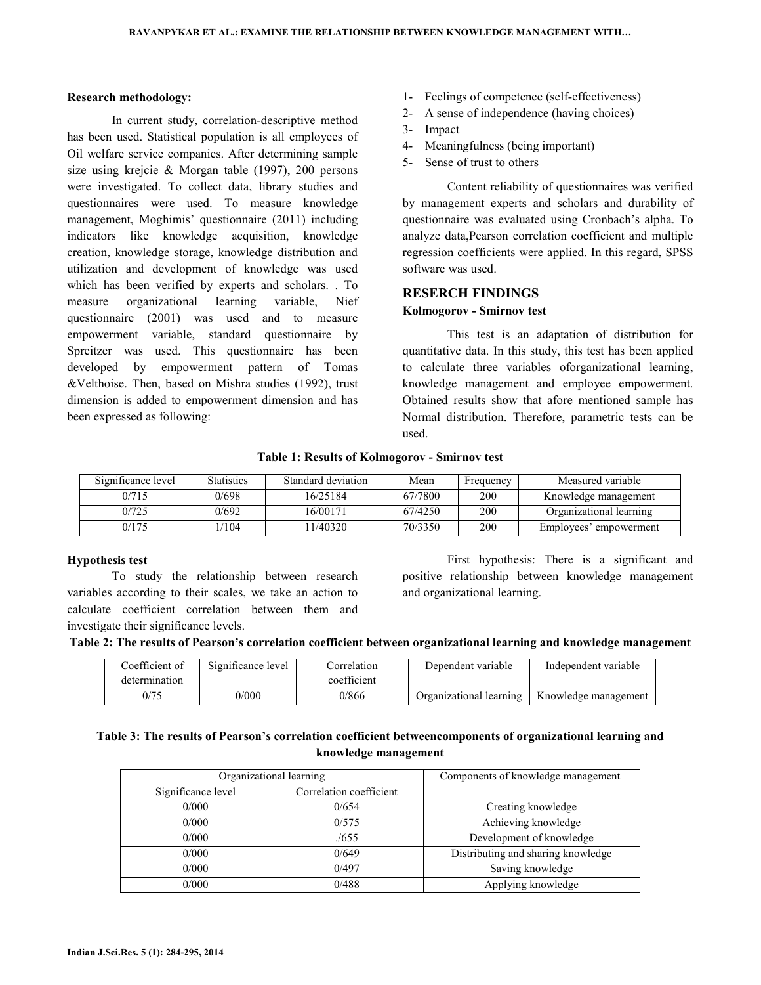#### Research methodology:

 In current study, correlation-descriptive method has been used. Statistical population is all employees of Oil welfare service companies. After determining sample size using krejcie & Morgan table (1997), 200 persons were investigated. To collect data, library studies and questionnaires were used. To measure knowledge management, Moghimis' questionnaire (2011) including indicators like knowledge acquisition, knowledge creation, knowledge storage, knowledge distribution and utilization and development of knowledge was used which has been verified by experts and scholars. . To measure organizational learning variable, Nief questionnaire (2001) was used and to measure empowerment variable, standard questionnaire by Spreitzer was used. This questionnaire has been developed by empowerment pattern of Tomas &Velthoise. Then, based on Mishra studies (1992), trust dimension is added to empowerment dimension and has been expressed as following:

- 1- Feelings of competence (self-effectiveness)
- 2- A sense of independence (having choices)
- 3- Impact
- 4- Meaningfulness (being important)
- 5- Sense of trust to others

 Content reliability of questionnaires was verified by management experts and scholars and durability of questionnaire was evaluated using Cronbach's alpha. To analyze data,Pearson correlation coefficient and multiple regression coefficients were applied. In this regard, SPSS software was used.

## RESERCH FINDINGS

## Kolmogorov - Smirnov test

 This test is an adaptation of distribution for quantitative data. In this study, this test has been applied to calculate three variables oforganizational learning, knowledge management and employee empowerment. Obtained results show that afore mentioned sample has Normal distribution. Therefore, parametric tests can be used.

| Significance level | <b>Statistics</b> | Standard deviation | Mean    | Frequency | Measured variable       |
|--------------------|-------------------|--------------------|---------|-----------|-------------------------|
| 0/715              | 0/698             | 16/25184           | 67/7800 | 200       | Knowledge management    |
| 0/725              | 0/692             | 16/00171           | 67/4250 | 200       | Organizational learning |
| 0/175              | 1/104             | 1/40320            | 70/3350 | 200       | Employees' empowerment  |

## Table 1: Results of Kolmogorov - Smirnov test

## Hypothesis test

To study the relationship between research variables according to their scales, we take an action to calculate coefficient correlation between them and investigate their significance levels.

 First hypothesis: There is a significant and positive relationship between knowledge management and organizational learning.

| Table 2: The results of Pearson's correlation coefficient between organizational learning and knowledge management |  |  |
|--------------------------------------------------------------------------------------------------------------------|--|--|
|                                                                                                                    |  |  |

| Coefficient of | Significance level | Correlation | Dependent variable      | Independent variable |
|----------------|--------------------|-------------|-------------------------|----------------------|
| determination  |                    | coefficient |                         |                      |
| 0/75           | 0/000              | 0/866       | Organizational learning | Knowledge management |

# Table 3: The results of Pearson's correlation coefficient betweencomponents of organizational learning and knowledge management

| Organizational learning |                         | Components of knowledge management |
|-------------------------|-------------------------|------------------------------------|
| Significance level      | Correlation coefficient |                                    |
| 0/000                   | 0/654                   | Creating knowledge                 |
| 0/000                   | 0/575                   | Achieving knowledge                |
| 0/000                   | (655)                   | Development of knowledge           |
| 0/000                   | 0/649                   | Distributing and sharing knowledge |
| 0/000                   | 0/497                   | Saving knowledge                   |
| 0/000                   | 0/488                   | Applying knowledge                 |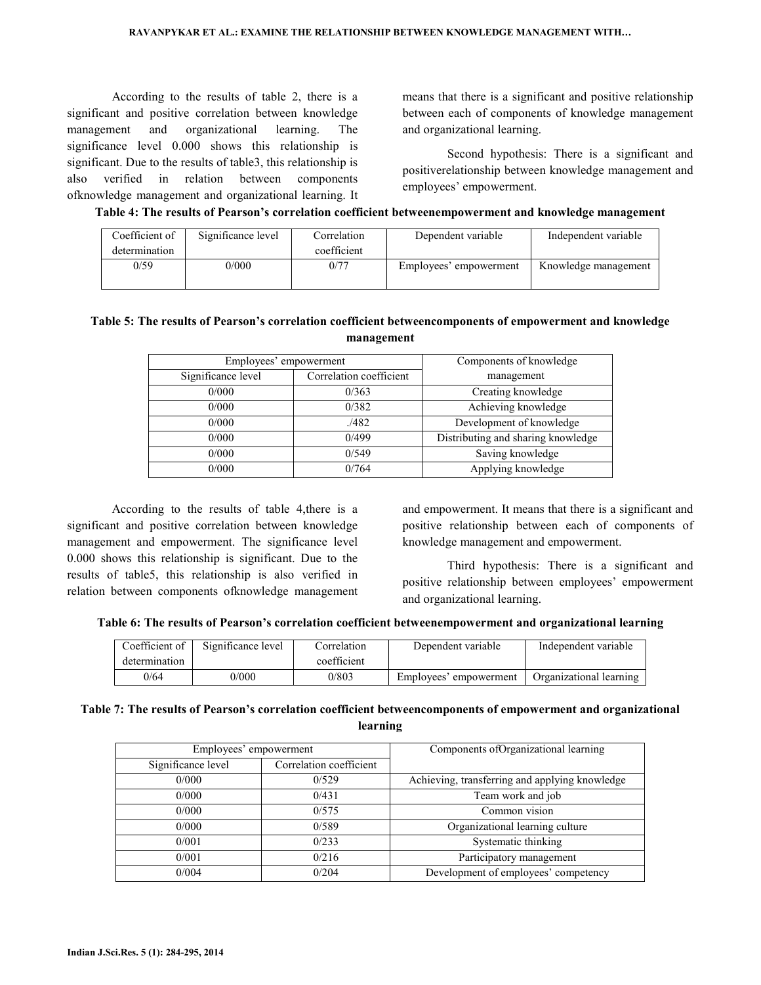According to the results of table 2, there is a significant and positive correlation between knowledge management and organizational learning. The significance level 0.000 shows this relationship is significant. Due to the results of table3, this relationship is also verified in relation between components ofknowledge management and organizational learning. It means that there is a significant and positive relationship between each of components of knowledge management and organizational learning.

 Second hypothesis: There is a significant and positiverelationship between knowledge management and employees' empowerment.

## Table 4: The results of Pearson's correlation coefficient betweenempowerment and knowledge management

| Coefficient of<br>determination | Significance level | Correlation<br>coefficient | Dependent variable     | Independent variable |
|---------------------------------|--------------------|----------------------------|------------------------|----------------------|
| 0/59                            | 0/000              | 0/77                       | Employees' empowerment | Knowledge management |

# Table 5: The results of Pearson's correlation coefficient betweencomponents of empowerment and knowledge management

| Employees' empowerment |                         | Components of knowledge            |
|------------------------|-------------------------|------------------------------------|
| Significance level     | Correlation coefficient | management                         |
| 0/000                  | 0/363                   | Creating knowledge                 |
| 0/000                  | 0/382                   | Achieving knowledge                |
| 0/000                  | ./482                   | Development of knowledge           |
| 0/000                  | 0/499                   | Distributing and sharing knowledge |
| 0/000                  | 0/549                   | Saving knowledge                   |
| 0/000                  | 0/764                   | Applying knowledge                 |

 According to the results of table 4,there is a significant and positive correlation between knowledge management and empowerment. The significance level 0.000 shows this relationship is significant. Due to the results of table5, this relationship is also verified in relation between components ofknowledge management and empowerment. It means that there is a significant and positive relationship between each of components of knowledge management and empowerment.

 Third hypothesis: There is a significant and positive relationship between employees' empowerment and organizational learning.

| Table 6: The results of Pearson's correlation coefficient betweenempowerment and organizational learning |  |
|----------------------------------------------------------------------------------------------------------|--|
|                                                                                                          |  |

| Coefficient of<br>determination | Significance level | Correlation<br>coefficient | Dependent variable     | Independent variable    |
|---------------------------------|--------------------|----------------------------|------------------------|-------------------------|
| 0/64                            | 0/000              | 0/803                      | Employees' empowerment | Organizational learning |

# Table 7: The results of Pearson's correlation coefficient betweencomponents of empowerment and organizational learning

| Employees' empowerment |                         | Components of Organizational learning          |
|------------------------|-------------------------|------------------------------------------------|
| Significance level     | Correlation coefficient |                                                |
| 0/000                  | 0/529                   | Achieving, transferring and applying knowledge |
| 0/000                  | 0/431                   | Team work and job                              |
| 0/000                  | 0/575                   | Common vision                                  |
| 0/000                  | 0/589                   | Organizational learning culture                |
| 0/001                  | 0/233                   | Systematic thinking                            |
| 0/001                  | 0/216                   | Participatory management                       |
| 0/004                  | 0/204                   | Development of employees' competency           |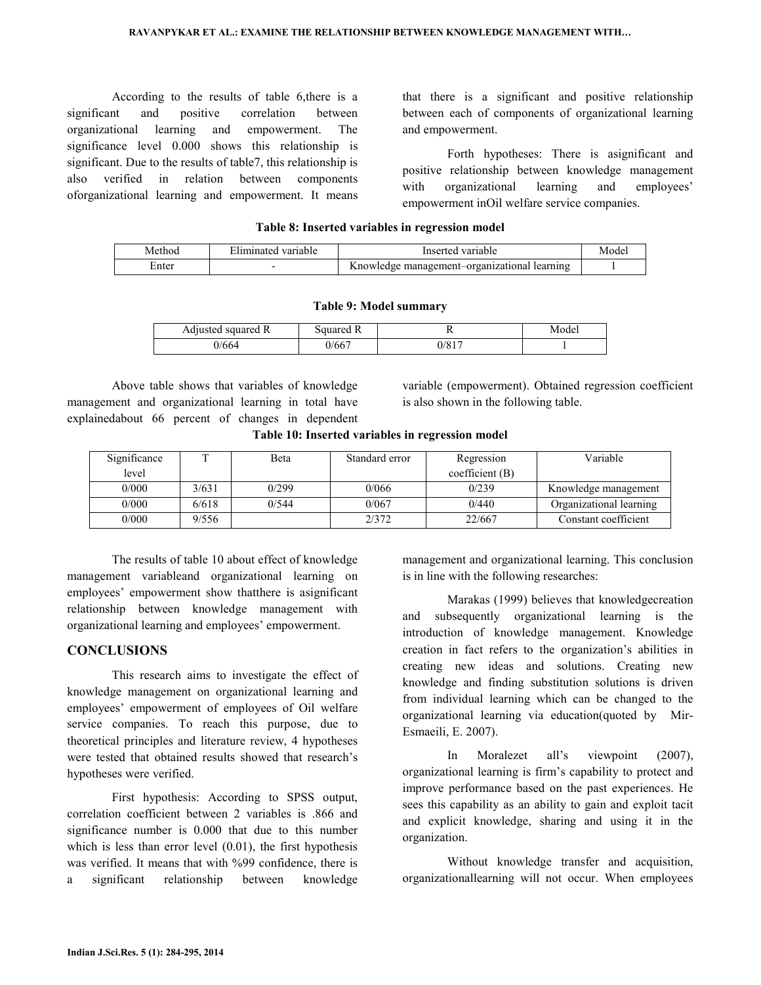According to the results of table 6,there is a significant and positive correlation between organizational learning and empowerment. The significance level 0.000 shows this relationship is significant. Due to the results of table7, this relationship is also verified in relation between components oforganizational learning and empowerment. It means that there is a significant and positive relationship between each of components of organizational learning and empowerment.

 Forth hypotheses: There is asignificant and positive relationship between knowledge management with organizational learning and employees' empowerment inOil welfare service companies.

| Method | Eliminated variable | Inserted variable                            | Mode <sub>1</sub> |
|--------|---------------------|----------------------------------------------|-------------------|
| ∴nter  |                     | Knowledge management-organizational learning |                   |

# Table 8: Inserted variables in regression model

|  |  |  | Table 9: Model summary |
|--|--|--|------------------------|
|--|--|--|------------------------|

| Adjusted squared R | Squared R |            | Model |
|--------------------|-----------|------------|-------|
| –664 (ر            | 0/667     | $0/81^{-}$ |       |

 Above table shows that variables of knowledge management and organizational learning in total have explainedabout 66 percent of changes in dependent variable (empowerment). Obtained regression coefficient is also shown in the following table.

|  |  |  | Table 10: Inserted variables in regression model |  |
|--|--|--|--------------------------------------------------|--|
|--|--|--|--------------------------------------------------|--|

| Significance |       | Beta  | Standard error | Regression     | Variable                |
|--------------|-------|-------|----------------|----------------|-------------------------|
| level        |       |       |                | coefficient(B) |                         |
| 0/000        | 3/631 | 0/299 | 0/066          | 0/239          | Knowledge management    |
| 0/000        | 6/618 | 0/544 | 0/067          | 0/440          | Organizational learning |
| 0/000        | 9/556 |       | 2/372          | 22/667         | Constant coefficient    |

 The results of table 10 about effect of knowledge management variableand organizational learning on employees' empowerment show thatthere is asignificant relationship between knowledge management with organizational learning and employees' empowerment.

# **CONCLUSIONS**

 This research aims to investigate the effect of knowledge management on organizational learning and employees' empowerment of employees of Oil welfare service companies. To reach this purpose, due to theoretical principles and literature review, 4 hypotheses were tested that obtained results showed that research's hypotheses were verified.

 First hypothesis: According to SPSS output, correlation coefficient between 2 variables is .866 and significance number is 0.000 that due to this number which is less than error level  $(0.01)$ , the first hypothesis was verified. It means that with %99 confidence, there is a significant relationship between knowledge management and organizational learning. This conclusion is in line with the following researches:

 Marakas (1999) believes that knowledgecreation and subsequently organizational learning is the introduction of knowledge management. Knowledge creation in fact refers to the organization's abilities in creating new ideas and solutions. Creating new knowledge and finding substitution solutions is driven from individual learning which can be changed to the organizational learning via education(quoted by Mir-Esmaeili, E. 2007).

 In Moralezet all's viewpoint (2007), organizational learning is firm's capability to protect and improve performance based on the past experiences. He sees this capability as an ability to gain and exploit tacit and explicit knowledge, sharing and using it in the organization.

 Without knowledge transfer and acquisition, organizationallearning will not occur. When employees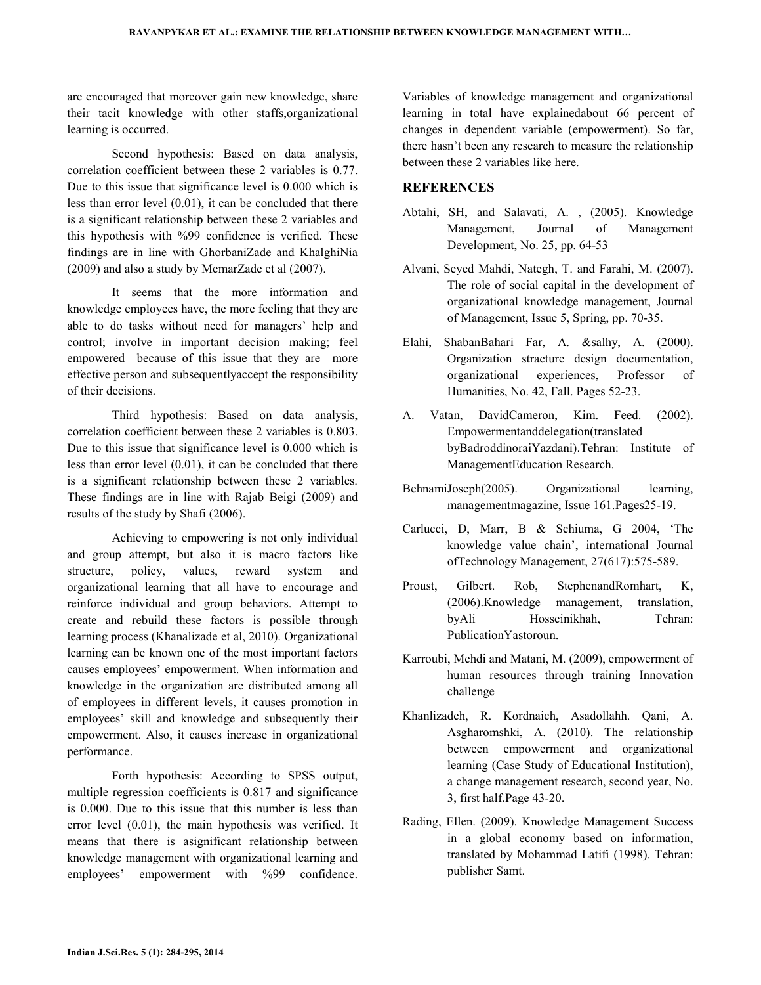are encouraged that moreover gain new knowledge, share their tacit knowledge with other staffs,organizational learning is occurred.

 Second hypothesis: Based on data analysis, correlation coefficient between these 2 variables is 0.77. Due to this issue that significance level is 0.000 which is less than error level (0.01), it can be concluded that there is a significant relationship between these 2 variables and this hypothesis with %99 confidence is verified. These findings are in line with GhorbaniZade and KhalghiNia (2009) and also a study by MemarZade et al (2007).

 It seems that the more information and knowledge employees have, the more feeling that they are able to do tasks without need for managers' help and control; involve in important decision making; feel empowered because of this issue that they are more effective person and subsequentlyaccept the responsibility of their decisions.

 Third hypothesis: Based on data analysis, correlation coefficient between these 2 variables is 0.803. Due to this issue that significance level is 0.000 which is less than error level (0.01), it can be concluded that there is a significant relationship between these 2 variables. These findings are in line with Rajab Beigi (2009) and results of the study by Shafi (2006).

 Achieving to empowering is not only individual and group attempt, but also it is macro factors like structure, policy, values, reward system and organizational learning that all have to encourage and reinforce individual and group behaviors. Attempt to create and rebuild these factors is possible through learning process (Khanalizade et al, 2010). Organizational learning can be known one of the most important factors causes employees' empowerment. When information and knowledge in the organization are distributed among all of employees in different levels, it causes promotion in employees' skill and knowledge and subsequently their empowerment. Also, it causes increase in organizational performance.

 Forth hypothesis: According to SPSS output, multiple regression coefficients is 0.817 and significance is 0.000. Due to this issue that this number is less than error level (0.01), the main hypothesis was verified. It means that there is asignificant relationship between knowledge management with organizational learning and employees' empowerment with %99 confidence.

Variables of knowledge management and organizational learning in total have explainedabout 66 percent of changes in dependent variable (empowerment). So far, there hasn't been any research to measure the relationship between these 2 variables like here.

# **REFERENCES**

- Abtahi, SH, and Salavati, A. , (2005). Knowledge Management, Journal of Management Development, No. 25, pp. 64-53
- Alvani, Seyed Mahdi, Nategh, T. and Farahi, M. (2007). The role of social capital in the development of organizational knowledge management, Journal of Management, Issue 5, Spring, pp. 70-35.
- Elahi, ShabanBahari Far, A. &salhy, A. (2000). Organization stracture design documentation, organizational experiences, Professor of Humanities, No. 42, Fall. Pages 52-23.
- A. Vatan, DavidCameron, Kim. Feed. (2002). Empowermentanddelegation(translated byBadroddinoraiYazdani).Tehran: Institute of ManagementEducation Research.
- BehnamiJoseph(2005). Organizational learning, managementmagazine, Issue 161.Pages25-19.
- Carlucci, D, Marr, B & Schiuma, G 2004, 'The knowledge value chain', international Journal ofTechnology Management, 27(617):575-589.
- Proust, Gilbert. Rob, StephenandRomhart, K, (2006).Knowledge management, translation, byAli Hosseinikhah, Tehran: PublicationYastoroun.
- Karroubi, Mehdi and Matani, M. (2009), empowerment of human resources through training Innovation challenge
- Khanlizadeh, R. Kordnaich, Asadollahh. Qani, A. Asgharomshki, A. (2010). The relationship between empowerment and organizational learning (Case Study of Educational Institution), a change management research, second year, No. 3, first half.Page 43-20.
- Rading, Ellen. (2009). Knowledge Management Success in a global economy based on information, translated by Mohammad Latifi (1998). Tehran: publisher Samt.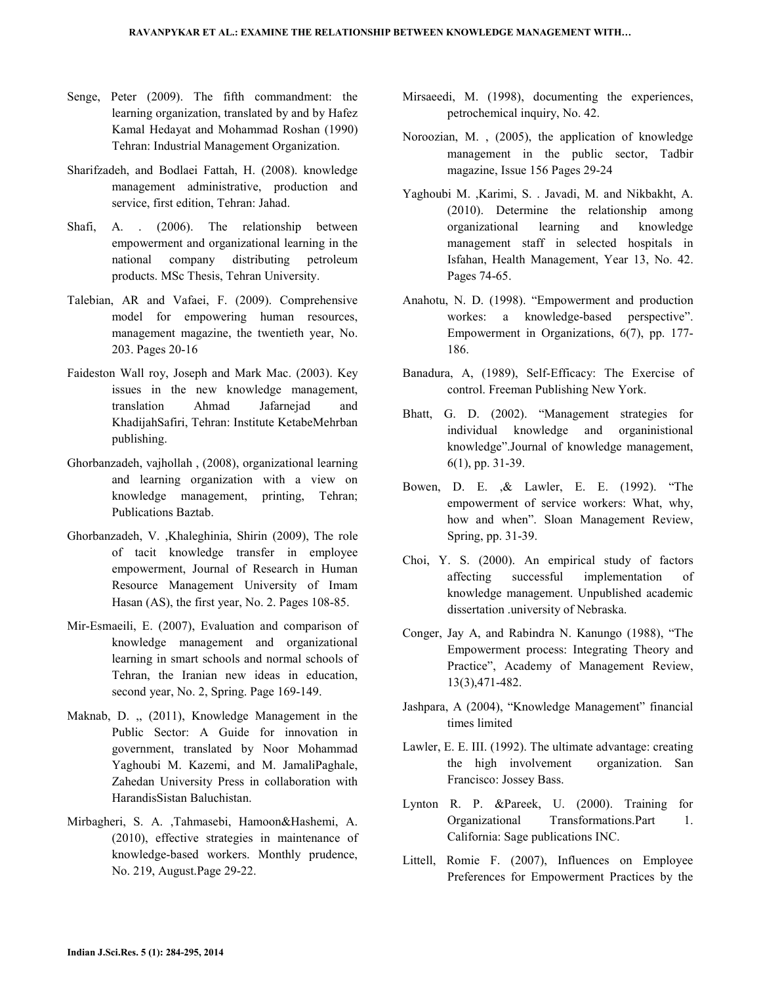- Senge, Peter (2009). The fifth commandment: the learning organization, translated by and by Hafez Kamal Hedayat and Mohammad Roshan (1990) Tehran: Industrial Management Organization.
- Sharifzadeh, and Bodlaei Fattah, H. (2008). knowledge management administrative, production and service, first edition, Tehran: Jahad.
- Shafi, A. . (2006). The relationship between empowerment and organizational learning in the national company distributing petroleum products. MSc Thesis, Tehran University.
- Talebian, AR and Vafaei, F. (2009). Comprehensive model for empowering human resources, management magazine, the twentieth year, No. 203. Pages 20-16
- Faideston Wall roy, Joseph and Mark Mac. (2003). Key issues in the new knowledge management, translation Ahmad Jafarnejad and KhadijahSafiri, Tehran: Institute KetabeMehrban publishing.
- Ghorbanzadeh, vajhollah , (2008), organizational learning and learning organization with a view on knowledge management, printing, Tehran; Publications Baztab.
- Ghorbanzadeh, V. ,Khaleghinia, Shirin (2009), The role of tacit knowledge transfer in employee empowerment, Journal of Research in Human Resource Management University of Imam Hasan (AS), the first year, No. 2. Pages 108-85.
- Mir-Esmaeili, E. (2007), Evaluation and comparison of knowledge management and organizational learning in smart schools and normal schools of Tehran, the Iranian new ideas in education, second year, No. 2, Spring. Page 169-149.
- Maknab, D. ,, (2011), Knowledge Management in the Public Sector: A Guide for innovation in government, translated by Noor Mohammad Yaghoubi M. Kazemi, and M. JamaliPaghale, Zahedan University Press in collaboration with HarandisSistan Baluchistan.
- Mirbagheri, S. A. ,Tahmasebi, Hamoon&Hashemi, A. (2010), effective strategies in maintenance of knowledge-based workers. Monthly prudence, No. 219, August.Page 29-22.
- Mirsaeedi, M. (1998), documenting the experiences, petrochemical inquiry, No. 42.
- Noroozian, M. , (2005), the application of knowledge management in the public sector, Tadbir magazine, Issue 156 Pages 29-24
- Yaghoubi M. ,Karimi, S. . Javadi, M. and Nikbakht, A. (2010). Determine the relationship among organizational learning and knowledge management staff in selected hospitals in Isfahan, Health Management, Year 13, No. 42. Pages 74-65.
- Anahotu, N. D. (1998). "Empowerment and production workes: a knowledge-based perspective". Empowerment in Organizations, 6(7), pp. 177- 186.
- Banadura, A, (1989), Self-Efficacy: The Exercise of control. Freeman Publishing New York.
- Bhatt, G. D. (2002). "Management strategies for individual knowledge and organinistional knowledge".Journal of knowledge management, 6(1), pp. 31-39.
- Bowen, D. E. ,& Lawler, E. E. (1992). "The empowerment of service workers: What, why, how and when". Sloan Management Review, Spring, pp. 31-39.
- Choi, Y. S. (2000). An empirical study of factors affecting successful implementation of knowledge management. Unpublished academic dissertation .university of Nebraska.
- Conger, Jay A, and Rabindra N. Kanungo (1988), "The Empowerment process: Integrating Theory and Practice", Academy of Management Review, 13(3),471-482.
- Jashpara, A (2004), "Knowledge Management" financial times limited
- Lawler, E. E. III. (1992). The ultimate advantage: creating the high involvement organization. San Francisco: Jossey Bass.
- Lynton R. P. &Pareek, U. (2000). Training for Organizational Transformations.Part 1. California: Sage publications INC.
- Littell, Romie F. (2007), Influences on Employee Preferences for Empowerment Practices by the